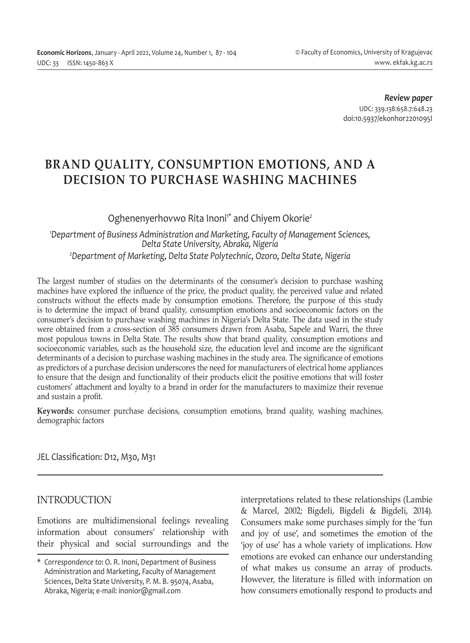*Review paper* UDC: 339.138:658.7:648.23 doi:10.5937/ekonhor2201095I

# **BRAND QUALITY, CONSUMPTION EMOTIONS, AND A DECISION TO PURCHASE WASHING MACHINES**

## Oghenenyerhovwo Rita Inoni<sup>\*</sup> and Chiyem Okorie<sup>2</sup>

*1 Department of Business Administration and Marketing, Faculty of Management Sciences, Delta State University, Abraka, Nigeria 2 Department of Marketing, Delta State Polytechnic, Ozoro, Delta State, Nigeria*

The largest number of studies on the determinants of the consumer's decision to purchase washing machines have explored the influence of the price, the product quality, the perceived value and related constructs without the effects made by consumption emotions. Therefore, the purpose of this study is to determine the impact of brand quality, consumption emotions and socioeconomic factors on the consumer's decision to purchase washing machines in Nigeria's Delta State. The data used in the study were obtained from a cross-section of 385 consumers drawn from Asaba, Sapele and Warri, the three most populous towns in Delta State. The results show that brand quality, consumption emotions and socioeconomic variables, such as the household size, the education level and income are the significant determinants of a decision to purchase washing machines in the study area. The significance of emotions as predictors of a purchase decision underscores the need for manufacturers of electrical home appliances to ensure that the design and functionality of their products elicit the positive emotions that will foster customers' attachment and loyalty to a brand in order for the manufacturers to maximize their revenue and sustain a profit.

**Keywords:** consumer purchase decisions, consumption emotions, brand quality, washing machines, demographic factors

JEL Classification: D12, M30, M31

## INTRODUCTION

Emotions are multidimensional feelings revealing information about consumers' relationship with their physical and social surroundings and the interpretations related to these relationships (Lambie & Marcel, 2002; Bigdeli, Bigdeli & Bigdeli, 2014). Consumers make some purchases simply for the 'fun and joy of use', and sometimes the emotion of the 'joy of use' has a whole variety of implications. How emotions are evoked can enhance our understanding of what makes us consume an array of products. However, the literature is filled with information on how consumers emotionally respond to products and

*<sup>\*</sup> Correspondence to*: O. R. Inoni, Department of Business Administration and Marketing, Faculty of Management Sciences, Delta State University, P. M. B. 95074, Asaba, Abraka, Nigeria; e-mail: inonior@gmail.com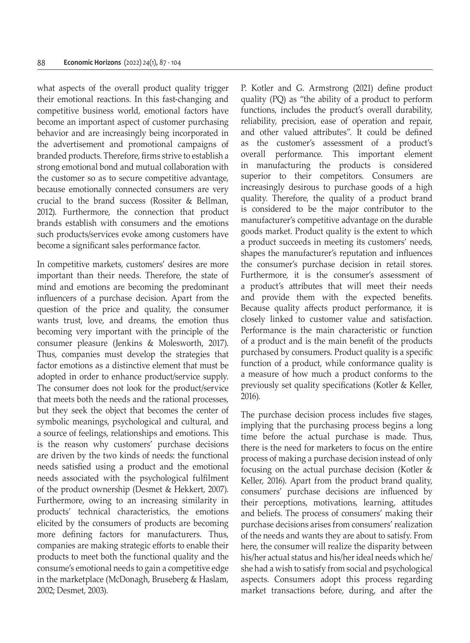what aspects of the overall product quality trigger their emotional reactions. In this fast-changing and competitive business world, emotional factors have become an important aspect of customer purchasing behavior and are increasingly being incorporated in the advertisement and promotional campaigns of branded products. Therefore, firms strive to establish a strong emotional bond and mutual collaboration with the customer so as to secure competitive advantage, because emotionally connected consumers are very crucial to the brand success (Rossiter & Bellman, 2012). Furthermore, the connection that product brands establish with consumers and the emotions such products/services evoke among customers have become a significant sales performance factor.

In competitive markets, customers' desires are more important than their needs. Therefore, the state of mind and emotions are becoming the predominant influencers of a purchase decision. Apart from the question of the price and quality, the consumer wants trust, love, and dreams, the emotion thus becoming very important with the principle of the consumer pleasure (Jenkins & Molesworth, 2017). Thus, companies must develop the strategies that factor emotions as a distinctive element that must be adopted in order to enhance product/service supply. The consumer does not look for the product/service that meets both the needs and the rational processes, but they seek the object that becomes the center of symbolic meanings, psychological and cultural, and a source of feelings, relationships and emotions. This is the reason why customers' purchase decisions are driven by the two kinds of needs: the functional needs satisfied using a product and the emotional needs associated with the psychological fulfilment of the product ownership (Desmet & Hekkert, 2007). Furthermore, owing to an increasing similarity in products' technical characteristics, the emotions elicited by the consumers of products are becoming more defining factors for manufacturers. Thus, companies are making strategic efforts to enable their products to meet both the functional quality and the consume's emotional needs to gain a competitive edge in the marketplace (McDonagh, Bruseberg & Haslam, 2002; Desmet, 2003).

P. Kotler and G. Armstrong (2021) define product quality (PQ) as "the ability of a product to perform functions, includes the product's overall durability, reliability, precision, ease of operation and repair, and other valued attributes". It could be defined as the customer's assessment of a product's overall performance. This important element in manufacturing the products is considered superior to their competitors. Consumers are increasingly desirous to purchase goods of a high quality. Therefore, the quality of a product brand is considered to be the major contributor to the manufacturer's competitive advantage on the durable goods market. Product quality is the extent to which a product succeeds in meeting its customers' needs, shapes the manufacturer's reputation and influences the consumer's purchase decision in retail stores. Furthermore, it is the consumer's assessment of a product's attributes that will meet their needs and provide them with the expected benefits. Because quality affects product performance, it is closely linked to customer value and satisfaction. Performance is the main characteristic or function of a product and is the main benefit of the products purchased by consumers. Product quality is a specific function of a product, while conformance quality is a measure of how much a product conforms to the previously set quality specifications (Kotler & Keller, 2016).

The purchase decision process includes five stages, implying that the purchasing process begins a long time before the actual purchase is made. Thus, there is the need for marketers to focus on the entire process of making a purchase decision instead of only focusing on the actual purchase decision (Kotler & Keller, 2016). Apart from the product brand quality, consumers' purchase decisions are influenced by their perceptions, motivations, learning, attitudes and beliefs. The process of consumers' making their purchase decisions arises from consumers' realization of the needs and wants they are about to satisfy. From here, the consumer will realize the disparity between his/her actual status and his/her ideal needs which he/ she had a wish to satisfy from social and psychological aspects. Consumers adopt this process regarding market transactions before, during, and after the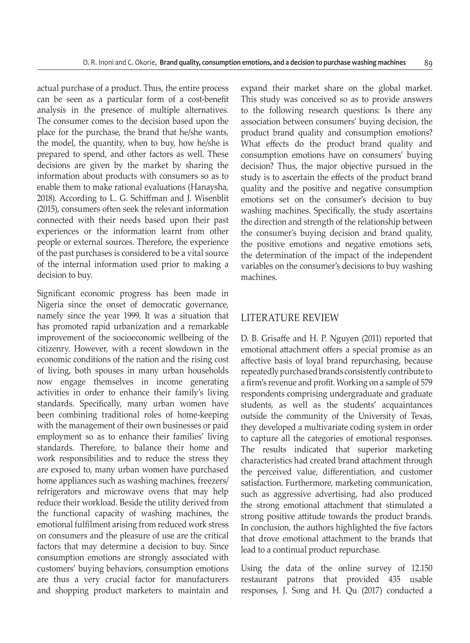actual purchase of a product. Thus, the entire process can be seen as a particular form of a cost-benefit analysis in the presence of multiple alternatives. The consumer comes to the decision based upon the place for the purchase, the brand that he/she wants, the model, the quantity, when to buy, how he/she is prepared to spend, and other factors as well. These decisions are given by the market by sharing the information about products with consumers so as to enable them to make rational evaluations (Hanaysha, 2018). According to L. G. Schiffman and J. Wisenblit (2015), consumers often seek the relevant information connected with their needs based upon their past experiences or the information learnt from other people or external sources. Therefore, the experience of the past purchases is considered to be a vital source of the internal information used prior to making a decision to buy.

Significant economic progress has been made in Nigeria since the onset of democratic governance, namely since the year 1999. It was a situation that has promoted rapid urbanization and a remarkable improvement of the socioeconomic wellbeing of the citizenry. However, with a recent slowdown in the economic conditions of the nation and the rising cost of living, both spouses in many urban households now engage themselves in income generating activities in order to enhance their family's living standards. Specifically, many urban women have been combining traditional roles of home-keeping with the management of their own businesses or paid employment so as to enhance their families' living standards. Therefore, to balance their home and work responsibilities and to reduce the stress they are exposed to, many urban women have purchased home appliances such as washing machines, freezers/ refrigerators and microwave ovens that may help reduce their workload. Beside the utility derived from the functional capacity of washing machines, the emotional fulfilment arising from reduced work stress on consumers and the pleasure of use are the critical factors that may determine a decision to buy. Since consumption emotions are strongly associated with customers' buying behaviors, consumption emotions are thus a very crucial factor for manufacturers and shopping product marketers to maintain and expand their market share on the global market. This study was conceived so as to provide answers to the following research questions: Is there any association between consumers' buying decision, the product brand quality and consumption emotions? What effects do the product brand quality and consumption emotions have on consumers' buying decision? Thus, the major objective pursued in the study is to ascertain the effects of the product brand quality and the positive and negative consumption emotions set on the consumer's decision to buy washing machines. Specifically, the study ascertains the direction and strength of the relationship between the consumer's buying decision and brand quality, the positive emotions and negative emotions sets, the determination of the impact of the independent variables on the consumer's decisions to buy washing machines.

#### LITERATURE REVIEW

D. B. Grisaffe and H. P. Nguyen (2011) reported that emotional attachment offers a special promise as an affective basis of loyal brand repurchasing, because repeatedly purchased brands consistently contribute to a firm's revenue and profit. Working on a sample of 579 respondents comprising undergraduate and graduate students, as well as the students' acquaintances outside the community of the University of Texas, they developed a multivariate coding system in order to capture all the categories of emotional responses. The results indicated that superior marketing characteristics had created brand attachment through the perceived value, differentiation, and customer satisfaction. Furthermore, marketing communication, such as aggressive advertising, had also produced the strong emotional attachment that stimulated a strong positive attitude towards the product brands. In conclusion, the authors highlighted the five factors that drove emotional attachment to the brands that lead to a continual product repurchase.

Using the data of the online survey of 12.150 restaurant patrons that provided 435 usable responses, J. Song and H. Qu (2017) conducted a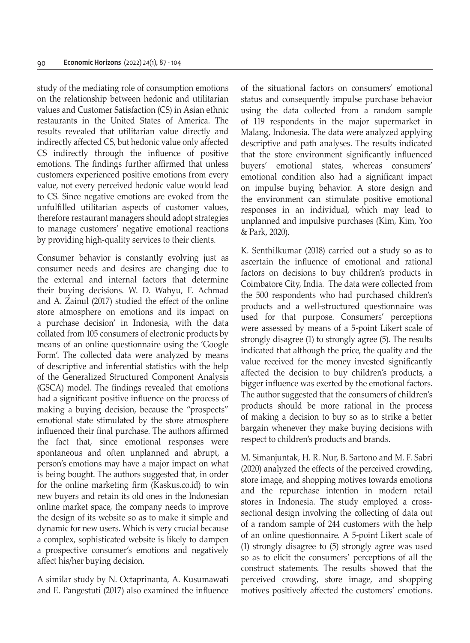study of the mediating role of consumption emotions on the relationship between hedonic and utilitarian values and Customer Satisfaction (CS) in Asian ethnic restaurants in the United States of America. The results revealed that utilitarian value directly and indirectly affected CS, but hedonic value only affected CS indirectly through the influence of positive emotions. The findings further affirmed that unless customers experienced positive emotions from every value, not every perceived hedonic value would lead to CS. Since negative emotions are evoked from the unfulfilled utilitarian aspects of customer values, therefore restaurant managers should adopt strategies to manage customers' negative emotional reactions by providing high-quality services to their clients.

Consumer behavior is constantly evolving just as consumer needs and desires are changing due to the external and internal factors that determine their buying decisions. W. D. Wahyu, F. Achmad and A. Zainul (2017) studied the effect of the online store atmosphere on emotions and its impact on a purchase decision' in Indonesia, with the data collated from 105 consumers of electronic products by means of an online questionnaire using the 'Google Form'. The collected data were analyzed by means of descriptive and inferential statistics with the help of the Generalized Structured Component Analysis (GSCA) model. The findings revealed that emotions had a significant positive influence on the process of making a buying decision, because the "prospects" emotional state stimulated by the store atmosphere influenced their final purchase. The authors affirmed the fact that, since emotional responses were spontaneous and often unplanned and abrupt, a person's emotions may have a major impact on what is being bought. The authors suggested that, in order for the online marketing firm (Kaskus.co.id) to win new buyers and retain its old ones in the Indonesian online market space, the company needs to improve the design of its website so as to make it simple and dynamic for new users. Which is very crucial because a complex, sophisticated website is likely to dampen a prospective consumer's emotions and negatively affect his/her buying decision.

A similar study by N. Octaprinanta, A. Kusumawati and E. Pangestuti (2017) also examined the influence of the situational factors on consumers' emotional status and consequently impulse purchase behavior using the data collected from a random sample of 119 respondents in the major supermarket in Malang, Indonesia. The data were analyzed applying descriptive and path analyses. The results indicated that the store environment significantly influenced buyers' emotional states, whereas consumers' emotional condition also had a significant impact on impulse buying behavior. A store design and the environment can stimulate positive emotional responses in an individual, which may lead to unplanned and impulsive purchases (Kim, Kim, Yoo & Park, 2020).

K. Senthilkumar (2018) carried out a study so as to ascertain the influence of emotional and rational factors on decisions to buy children's products in Coimbatore City, India. The data were collected from the 500 respondents who had purchased children's products and a well-structured questionnaire was used for that purpose. Consumers' perceptions were assessed by means of a 5-point Likert scale of strongly disagree (1) to strongly agree (5). The results indicated that although the price, the quality and the value received for the money invested significantly affected the decision to buy children's products, a bigger influence was exerted by the emotional factors. The author suggested that the consumers of children's products should be more rational in the process of making a decision to buy so as to strike a better bargain whenever they make buying decisions with respect to children's products and brands.

M. Simanjuntak, H. R. Nur, B. Sartono and M. F. Sabri (2020) analyzed the effects of the perceived crowding, store image, and shopping motives towards emotions and the repurchase intention in modern retail stores in Indonesia. The study employed a crosssectional design involving the collecting of data out of a random sample of 244 customers with the help of an online questionnaire. A 5-point Likert scale of (1) strongly disagree to (5) strongly agree was used so as to elicit the consumers' perceptions of all the construct statements. The results showed that the perceived crowding, store image, and shopping motives positively affected the customers' emotions.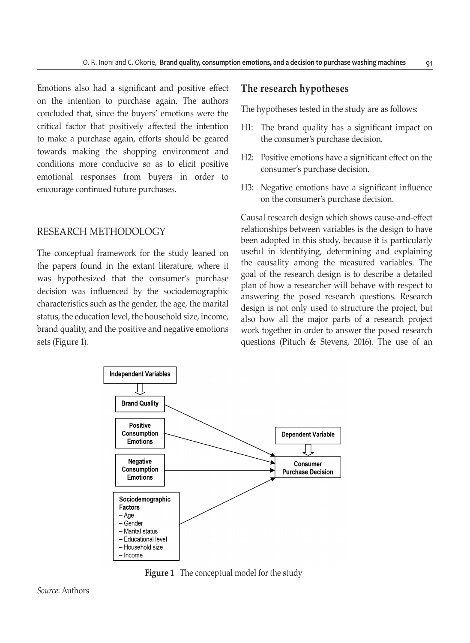Emotions also had a significant and positive effect on the intention to purchase again. The authors concluded that, since the buyers' emotions were the critical factor that positively affected the intention to make a purchase again, efforts should be geared towards making the shopping environment and conditions more conducive so as to elicit positive emotional responses from buyers in order to encourage continued future purchases.

## RESEARCH METHODOLOGY

The conceptual framework for the study leaned on the papers found in the extant literature, where it was hypothesized that the consumer's purchase decision was influenced by the sociodemographic characteristics such as the gender, the age, the marital status, the education level, the household size, income, brand quality, and the positive and negative emotions sets (Figure 1).

#### **The research hypotheses**

The hypotheses tested in the study are as follows:

- H1: The brand quality has a significant impact on the consumer's purchase decision.
- H2: Positive emotions have a significant effect on the consumer's purchase decision.
- H3: Negative emotions have a significant influence on the consumer's purchase decision.

Causal research design which shows cause-and-effect relationships between variables is the design to have been adopted in this study, because it is particularly useful in identifying, determining and explaining the causality among the measured variables. The goal of the research design is to describe a detailed plan of how a researcher will behave with respect to answering the posed research questions. Research design is not only used to structure the project, but also how all the major parts of a research project work together in order to answer the posed research questions (Pituch & Stevens, 2016). The use of an



**Figure 1** The conceptual model for the study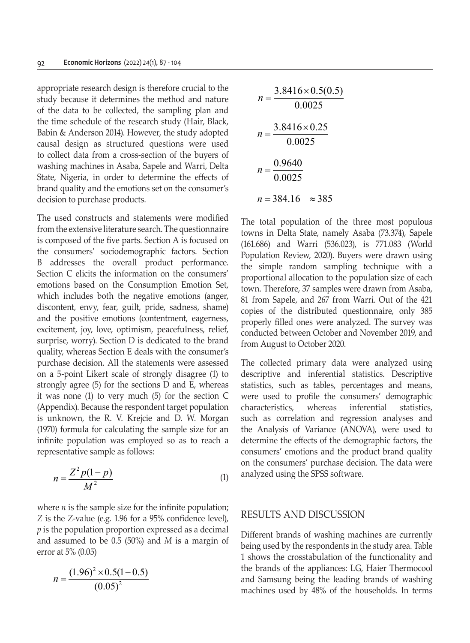appropriate research design is therefore crucial to the study because it determines the method and nature of the data to be collected, the sampling plan and the time schedule of the research study (Hair, Black, Babin & Anderson 2014). However, the study adopted causal design as structured questions were used to collect data from a cross-section of the buyers of washing machines in Asaba, Sapele and Warri, Delta State, Nigeria, in order to determine the effects of brand quality and the emotions set on the consumer's decision to purchase products.

The used constructs and statements were modified from the extensive literature search. The questionnaire is composed of the five parts. Section A is focused on the consumers' sociodemographic factors. Section B addresses the overall product performance. Section C elicits the information on the consumers' emotions based on the Consumption Emotion Set, which includes both the negative emotions (anger, discontent, envy, fear, guilt, pride, sadness, shame) and the positive emotions (contentment, eagerness, excitement, joy, love, optimism, peacefulness, relief, surprise, worry). Section D is dedicated to the brand quality, whereas Section E deals with the consumer's purchase decision. All the statements were assessed on a 5-point Likert scale of strongly disagree (1) to strongly agree (5) for the sections D and E, whereas it was none (1) to very much (5) for the section C (Appendix). Because the respondent target population is unknown, the R. V. Krejcie and D. W. Morgan (1970) formula for calculating the sample size for an infinite population was employed so as to reach a representative sample as follows:

$$
n = \frac{Z^2 p(1-p)}{M^2} \tag{1}
$$

where  $n$  is the sample size for the infinite population; *Z* is the *Z*-value (e.g. 1.96 for a 95% confidence level), *p* is the population proportion expressed as a decimal and assumed to be 0.5 (50%) and *M* is a margin of error at 5% (0.05)

$$
n = \frac{(1.96)^2 \times 0.5(1 - 0.5)}{(0.05)^2}
$$

$$
n = \frac{3.8416 \times 0.5(0.5)}{0.0025}
$$
  

$$
n = \frac{3.8416 \times 0.25}{0.0025}
$$
  

$$
n = \frac{0.9640}{0.0025}
$$
  

$$
n = 384.16 \approx 385
$$

The total population of the three most populous towns in Delta State, namely Asaba (73.374), Sapele (161.686) and Warri (536.023), is 771.083 (World Population Review, 2020). Buyers were drawn using the simple random sampling technique with a proportional allocation to the population size of each town. Therefore, 37 samples were drawn from Asaba, 81 from Sapele, and 267 from Warri. Out of the 421 copies of the distributed questionnaire, only 385 properly filled ones were analyzed. The survey was conducted between October and November 2019, and from August to October 2020.

The collected primary data were analyzed using descriptive and inferential statistics. Descriptive statistics, such as tables, percentages and means, were used to profile the consumers' demographic characteristics, whereas inferential statistics, such as correlation and regression analyses and the Analysis of Variance (ANOVA), were used to determine the effects of the demographic factors, the consumers' emotions and the product brand quality on the consumers' purchase decision. The data were analyzed using the SPSS software.

#### RESULTS AND DISCUSSION

Different brands of washing machines are currently being used by the respondents in the study area. Table 1 shows the crosstabulation of the functionality and the brands of the appliances: LG, Haier Thermocool and Samsung being the leading brands of washing machines used by 48% of the households. In terms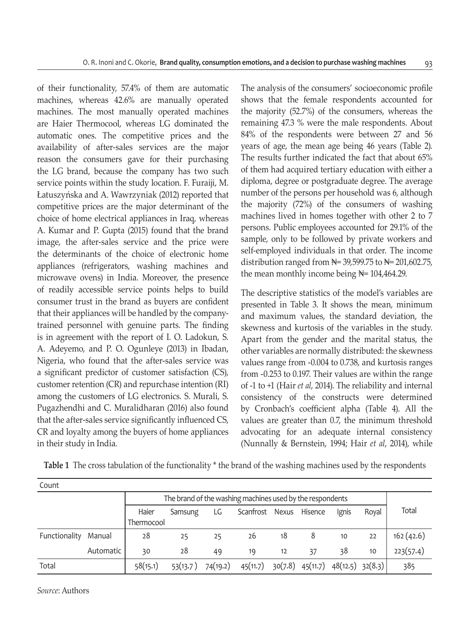of their functionality, 57.4% of them are automatic machines, whereas 42.6% are manually operated machines. The most manually operated machines are Haier Thermocool, whereas LG dominated the automatic ones. The competitive prices and the availability of after-sales services are the major reason the consumers gave for their purchasing the LG brand, because the company has two such service points within the study location. F. Furaiji, M. Łatuszyńska and A. Wawrzyniak (2012) reported that competitive prices are the major determinant of the choice of home electrical appliances in Iraq, whereas A. Kumar and P. Gupta (2015) found that the brand image, the after-sales service and the price were the determinants of the choice of electronic home appliances (refrigerators, washing machines and microwave ovens) in India. Moreover, the presence of readily accessible service points helps to build consumer trust in the brand as buyers are confident that their appliances will be handled by the companytrained personnel with genuine parts. The finding is in agreement with the report of I. O. Ladokun, S. A. Adeyemo, and P. O. Ogunleye (2013) in Ibadan, Nigeria, who found that the after-sales service was a significant predictor of customer satisfaction (CS), customer retention (CR) and repurchase intention (RI) among the customers of LG electronics. S. Murali, S. Pugazhendhi and C. Muralidharan (2016) also found that the after-sales service significantly influenced CS, CR and loyalty among the buyers of home appliances in their study in India.

The analysis of the consumers' socioeconomic profile shows that the female respondents accounted for the majority (52.7%) of the consumers, whereas the remaining 47.3 % were the male respondents. About 84% of the respondents were between 27 and 56 years of age, the mean age being 46 years (Table 2). The results further indicated the fact that about 65% of them had acquired tertiary education with either a diploma, degree or postgraduate degree. The average number of the persons per household was 6, although the majority (72%) of the consumers of washing machines lived in homes together with other 2 to 7 persons. Public employees accounted for 29.1% of the sample, only to be followed by private workers and self-employed individuals in that order. The income distribution ranged from  $\mathbb{N}$  = 39,599.75 to  $\mathbb{N}$  = 201,602.75, the mean monthly income being  $\mathbb{N}$ = 104,464.29.

The descriptive statistics of the model's variables are presented in Table 3. It shows the mean, minimum and maximum values, the standard deviation, the skewness and kurtosis of the variables in the study. Apart from the gender and the marital status, the other variables are normally distributed: the skewness values range from -0.004 to 0.738, and kurtosis ranges from -0.253 to 0.197. Their values are within the range of -1 to +1 (Hair *et al*, 2014). The reliability and internal consistency of the constructs were determined by Cronbach's coefficient alpha (Table 4). All the values are greater than 0.7, the minimum threshold advocating for an adequate internal consistency (Nunnally & Bernstein, 1994; Hair *et al*, 2014), while

| Count         |           |            |                                                           |          |                 |         |          |                      |       |           |  |
|---------------|-----------|------------|-----------------------------------------------------------|----------|-----------------|---------|----------|----------------------|-------|-----------|--|
|               |           |            | The brand of the washing machines used by the respondents |          |                 |         |          |                      |       |           |  |
|               |           | Haier      | Samsung                                                   | LG       | Scanfrost Nexus |         | Hisence  | Ignis                | Roval | Total     |  |
|               |           | Thermocool |                                                           |          |                 |         |          |                      |       |           |  |
| Functionality | Manual    | 28         | 25                                                        | 25       | 26              | 18      | 8        | 10                   | 22    | 162(42.6) |  |
|               | Automatic | 30         | 28                                                        | 49       | 19              | 12      | 37       | 38                   | 10    | 223(57.4) |  |
| Total         |           | 58(15.1)   | 53(13.7)                                                  | 74(19.2) | 45(11.7)        | 30(7.8) | 45(11.7) | $48(12.5)$ $32(8.3)$ |       | 385       |  |

**Table 1** The cross tabulation of the functionality \* the brand of the washing machines used by the respondents

*Source*: Authors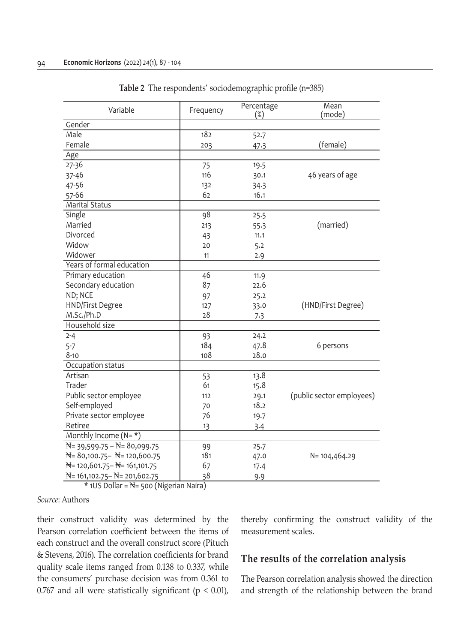| Variable                                             | Frequency | Percentage<br>$(\%)$ | Mean<br>(mode)            |
|------------------------------------------------------|-----------|----------------------|---------------------------|
| Gender                                               |           |                      |                           |
| Male                                                 | 182       | 52.7                 |                           |
| Female                                               | 203       | 47.3                 | (female)                  |
| Age                                                  |           |                      |                           |
| $27 - 36$                                            | 75        | 19.5                 |                           |
| 37-46                                                | 116       | 30.1                 | 46 years of age           |
| 47-56                                                | 132       | 34.3                 |                           |
| 57-66                                                | 62        | 16.1                 |                           |
| <b>Marital Status</b>                                |           |                      |                           |
| Single                                               | 98        | 25.5                 |                           |
| Married                                              | 213       | 55.3                 | (married)                 |
| Divorced                                             | 43        | 11.1                 |                           |
| Widow                                                | 20        | 5.2                  |                           |
| Widower                                              | 11        | 2.9                  |                           |
| Years of formal education                            |           |                      |                           |
| Primary education                                    | 46        | 11.9                 |                           |
| Secondary education                                  | 87        | 22.6                 |                           |
| ND; NCE                                              | 97        | 25.2                 |                           |
| <b>HND/First Degree</b>                              | 127       | 33.0                 | (HND/First Degree)        |
| M.Sc./Ph.D                                           | 28        | 7.3                  |                           |
| Household size                                       |           |                      |                           |
| $2 - 4$                                              | 93        | 24.2                 |                           |
| $5 - 7$                                              | 184       | 47.8                 | 6 persons                 |
| $8 - 10$                                             | 108       | 28.0                 |                           |
| Occupation status                                    |           |                      |                           |
| Artisan                                              | 53        | 13.8                 |                           |
| Trader                                               | 61        | 15.8                 |                           |
| Public sector employee                               | 112       | 29.1                 | (public sector employees) |
| Self-employed                                        | 70        | 18.2                 |                           |
| Private sector employee                              | 76        | 19.7                 |                           |
| Retiree                                              | <u>13</u> | 3.4                  |                           |
| Monthly Income $(N = *)$                             |           |                      |                           |
| $N = 39,599.75 - N = 80,099.75$                      | 99        | 25.7                 |                           |
| $\cancel{N}$ = 80,100.75 - $\cancel{N}$ = 120,600.75 | 181       | 47.0                 | N=104,464.29              |
| $N = 120,601.75 - N = 161,101.75$                    | 67        | 17.4                 |                           |
| $N = 161,102.75 - N = 201,602.75$                    | 38        | 9.9                  |                           |

**Table 2** The respondents' sociodemographic profile (n=385)

\* 1US Dollar = ₦= 500 (Nigerian Naira)

*Source*: Authors

their construct validity was determined by the Pearson correlation coefficient between the items of each construct and the overall construct score (Pituch & Stevens, 2016). The correlation coefficients for brand quality scale items ranged from 0.138 to 0.337, while the consumers' purchase decision was from 0.361 to 0.767 and all were statistically significant ( $p < 0.01$ ), thereby confirming the construct validity of the measurement scales.

### **The results of the correlation analysis**

The Pearson correlation analysis showed the direction and strength of the relationship between the brand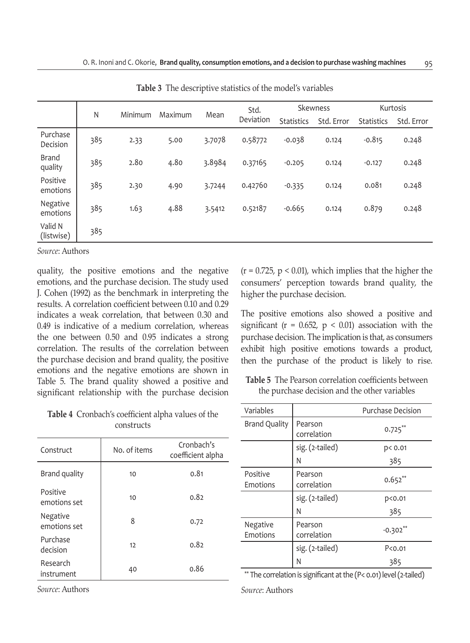|                         |     |         |         | Mean   | Std.      |                   | Skewness   |                   | Kurtosis   |
|-------------------------|-----|---------|---------|--------|-----------|-------------------|------------|-------------------|------------|
|                         | N   | Minimum | Maximum |        | Deviation | <b>Statistics</b> | Std. Error | <b>Statistics</b> | Std. Error |
| Purchase<br>Decision    | 385 | 2.33    | 5.00    | 3.7078 | 0.58772   | $-0.038$          | 0.124      | $-0.815$          | 0.248      |
| <b>Brand</b><br>quality | 385 | 2.80    | 4.80    | 3.8984 | 0.37165   | $-0.205$          | 0.124      | $-0.127$          | 0.248      |
| Positive<br>emotions    | 385 | 2.30    | 4.90    | 3.7244 | 0.42760   | $-0.335$          | 0.124      | 0.081             | 0.248      |
| Negative<br>emotions    | 385 | 1.63    | 4.88    | 3.5412 | 0.52187   | $-0.665$          | 0.124      | 0.879             | 0.248      |
| Valid N<br>(listwise)   | 385 |         |         |        |           |                   |            |                   |            |

**Table 3** The descriptive statistics of the model's variables

*Source*: Authors

quality, the positive emotions and the negative emotions, and the purchase decision. The study used J. Cohen (1992) as the benchmark in interpreting the results. A correlation coefficient between 0.10 and 0.29 indicates a weak correlation, that between 0.30 and 0.49 is indicative of a medium correlation, whereas the one between 0.50 and 0.95 indicates a strong correlation. The results of the correlation between the purchase decision and brand quality, the positive emotions and the negative emotions are shown in Table 5. The brand quality showed a positive and significant relationship with the purchase decision

 $(r = 0.725, p < 0.01)$ , which implies that the higher the consumers' perception towards brand quality, the higher the purchase decision.

The positive emotions also showed a positive and significant ( $r = 0.652$ ,  $p < 0.01$ ) association with the purchase decision. The implication is that, as consumers exhibit high positive emotions towards a product, then the purchase of the product is likely to rise.

**Table 5** The Pearson correlation coefficients between the purchase decision and the other variables

| Variables            |                        | <b>Purchase Decision</b> |
|----------------------|------------------------|--------------------------|
| <b>Brand Quality</b> | Pearson<br>correlation | $0.725***$               |
|                      | sig. (2-tailed)        | p< 0.01                  |
|                      | Ν                      | 385                      |
| Positive<br>Emotions | Pearson<br>correlation | $0.652**$                |
|                      | sig. (2-tailed)        | p <sub>0.01</sub>        |
|                      | N                      | 385                      |
| Negative<br>Emotions | Pearson<br>correlation | $-0.302$                 |
|                      | sig. (2-tailed)        | P<0.01                   |
|                      | N                      | 385                      |
|                      |                        |                          |

\*\* The correlation is significant at the (P< 0.01) level (2-tailed)

*Source*: Authors

| Table 4 Cronbach's coefficient alpha values of the |
|----------------------------------------------------|
| constructs                                         |

| Construct                | No. of items | Cronbach's<br>coefficient alpha |
|--------------------------|--------------|---------------------------------|
| Brand quality            | 10           | 0.81                            |
| Positive<br>emotions set | 10           | 0.82                            |
| Negative<br>emotions set | 8            | 0.72                            |
| Purchase<br>decision     | 12           | 0.82                            |
| Research<br>instrument   | 40           | 0.86                            |
|                          |              |                                 |

*Source*: Authors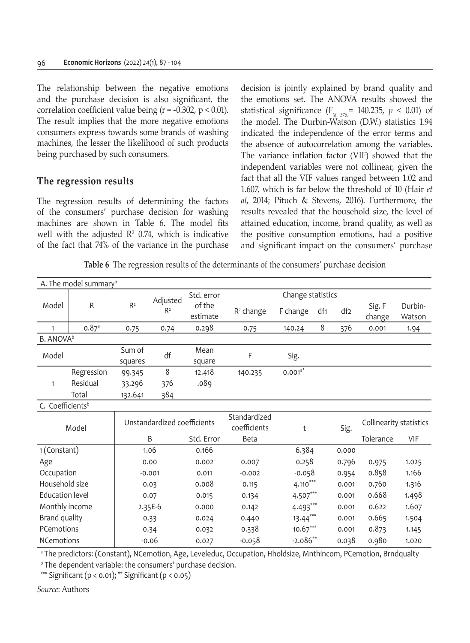The relationship between the negative emotions and the purchase decision is also significant, the correlation coefficient value being ( $r = -0.302$ ,  $p < 0.01$ ). The result implies that the more negative emotions consumers express towards some brands of washing machines, the lesser the likelihood of such products being purchased by such consumers.

#### **The regression results**

The regression results of determining the factors of the consumers' purchase decision for washing machines are shown in Table 6. The model fits well with the adjusted  $\mathbb{R}^2$  0.74, which is indicative of the fact that 74% of the variance in the purchase

decision is jointly explained by brand quality and the emotions set. The ANOVA results showed the statistical significance  $(F_{(8, 376)} = 140.235, p < 0.01)$  of the model. The Durbin-Watson (D.W.) statistics 1.94 indicated the independence of the error terms and the absence of autocorrelation among the variables. The variance inflation factor (VIF) showed that the independent variables were not collinear, given the fact that all the VIF values ranged between 1.02 and 1.607, which is far below the threshold of 10 (Hair *et al*, 2014; Pituch & Stevens, 2016). Furthermore, the results revealed that the household size, the level of attained education, income, brand quality, as well as the positive consumption emotions, had a positive and significant impact on the consumers' purchase

**Table 6** The regression results of the determinants of the consumers' purchase decision

|                              | A. The model summary <sup>b</sup> |                             |          |            |                              |                   |                 |                 |                         |            |
|------------------------------|-----------------------------------|-----------------------------|----------|------------|------------------------------|-------------------|-----------------|-----------------|-------------------------|------------|
|                              |                                   |                             | Adjusted | Std. error |                              | Change statistics |                 |                 |                         |            |
| Model                        | R                                 | R <sup>2</sup>              | $R^2$    | of the     | $R2$ change                  | F change          | df <sub>1</sub> | df <sub>2</sub> | Sig. F                  | Durbin-    |
|                              |                                   |                             |          | estimate   |                              |                   |                 |                 | change                  | Watson     |
| $\mathbf{1}$                 | $0.87$ <sup>a</sup>               | 0.75                        | 0.74     | 0.298      | 0.75                         | 140.24            | 8               | 376             | 0.001                   | 1.94       |
| <b>B. ANOVA</b> <sup>b</sup> |                                   |                             |          |            |                              |                   |                 |                 |                         |            |
| Model                        |                                   | Sum of                      | df       | Mean       | F                            | Sig.              |                 |                 |                         |            |
|                              |                                   | squares                     |          | square     |                              |                   |                 |                 |                         |            |
|                              | Regression                        | 99.345                      | 8        | 12.418     | 140.235                      | $0.001^{a*}$      |                 |                 |                         |            |
| $\mathbf{1}$                 | Residual                          | 33.296                      | 376      | .089       |                              |                   |                 |                 |                         |            |
|                              | Total                             | 132.641                     | 384      |            |                              |                   |                 |                 |                         |            |
| C. Coefficients <sup>b</sup> |                                   |                             |          |            |                              |                   |                 |                 |                         |            |
|                              | Model                             | Unstandardized coefficients |          |            | Standardized<br>coefficients | t                 |                 | Sig.            | Collinearity statistics |            |
|                              |                                   |                             | B        | Std. Error | <b>Beta</b>                  |                   |                 |                 | Tolerance               | <b>VIF</b> |
| 1 (Constant)                 |                                   |                             | 1.06     | 0.166      |                              | 6.384             |                 | 0.000           |                         |            |
| Age                          |                                   |                             | 0.00     | 0.002      | 0.007                        | 0.258             |                 | 0.796           | 0.975                   | 1.025      |
| Occupation                   |                                   |                             | $-0.001$ | 0.011      | $-0.002$                     | $-0.058$          |                 | 0.954           | 0.858                   | 1.166      |
| Household size               |                                   |                             | 0.03     | 0.008      | 0.115                        | $4.110***$        |                 | 0.001           | 0.760                   | 1.316      |
| <b>Education level</b>       |                                   |                             | 0.07     | 0.015      | 0.134                        | $4.507***$        |                 | 0.001           | 0.668                   | 1.498      |
| Monthly income               |                                   |                             | 2.35E-6  | 0.000      | 0.142                        | 4.493***          |                 | 0.001           | 0.622                   | 1.607      |
| Brand quality                |                                   |                             | 0.33     | 0.024      | 0.440                        | $13.44***$        |                 | 0.001           | 0.665                   | 1.504      |
| PCemotions                   |                                   |                             | 0.34     | 0.032      | 0.338                        | $10.67***$        |                 | 0.001           | 0.873                   | 1.145      |
| <b>NCemotions</b>            |                                   |                             | $-0.06$  | 0.027      | $-0.058$                     | $-2.086**$        |                 | 0.038           | 0.980                   | 1.020      |

a The predictors: (Constant), NCemotion, Age, Leveleduc, Occupation, Hholdsize, Mnthincom, PCemotion, Brndqualty

b The dependent variable: the consumers' purchase decision.

\*\*\* Significant (p < 0.01); \*\* Significant (p < 0.05)

*Source*: Authors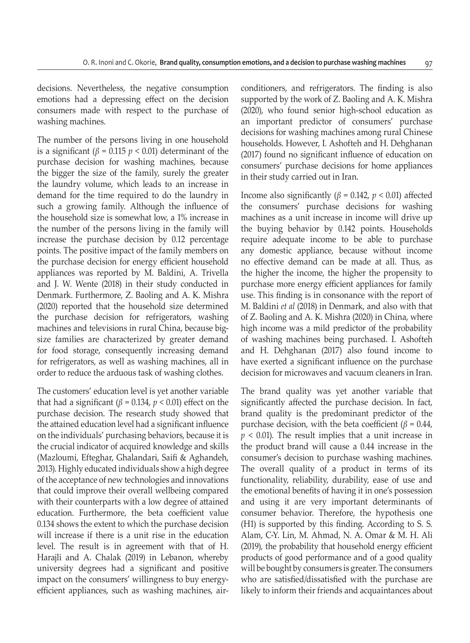decisions. Nevertheless, the negative consumption emotions had a depressing effect on the decision consumers made with respect to the purchase of washing machines.

The number of the persons living in one household is a significant ( $\beta$  = 0.115  $p$  < 0.01) determinant of the purchase decision for washing machines, because the bigger the size of the family, surely the greater the laundry volume, which leads to an increase in demand for the time required to do the laundry in such a growing family. Although the influence of the household size is somewhat low, a 1% increase in the number of the persons living in the family will increase the purchase decision by 0.12 percentage points. The positive impact of the family members on the purchase decision for energy efficient household appliances was reported by M. Baldini, A. Trivella and J. W. Wente (2018) in their study conducted in Denmark. Furthermore, Z. Baoling and A. K. Mishra (2020) reported that the household size determined the purchase decision for refrigerators, washing machines and televisions in rural China, because bigsize families are characterized by greater demand for food storage, consequently increasing demand for refrigerators, as well as washing machines, all in order to reduce the arduous task of washing clothes.

The customers' education level is yet another variable that had a significant ( $\beta$  = 0.134,  $p$  < 0.01) effect on the purchase decision. The research study showed that the attained education level had a significant influence on the individuals' purchasing behaviors, because it is the crucial indicator of acquired knowledge and skills (Mazloumi, Efteghar, Ghalandari, Saifi & Aghandeh, 2013). Highly educated individuals show a high degree of the acceptance of new technologies and innovations that could improve their overall wellbeing compared with their counterparts with a low degree of attained education. Furthermore, the beta coefficient value 0.134 shows the extent to which the purchase decision will increase if there is a unit rise in the education level. The result is in agreement with that of H. Harajli and A. Chalak (2019) in Lebanon, whereby university degrees had a significant and positive impact on the consumers' willingness to buy energyefficient appliances, such as washing machines, airconditioners, and refrigerators. The finding is also supported by the work of Z. Baoling and A. K. Mishra (2020), who found senior high-school education as an important predictor of consumers' purchase decisions for washing machines among rural Chinese households. However, I. Ashofteh and H. Dehghanan (2017) found no significant influence of education on consumers' purchase decisions for home appliances in their study carried out in Iran.

Income also significantly (*β* = 0.142, *p* < 0.01) affected the consumers' purchase decisions for washing machines as a unit increase in income will drive up the buying behavior by 0.142 points. Households require adequate income to be able to purchase any domestic appliance, because without income no effective demand can be made at all. Thus, as the higher the income, the higher the propensity to purchase more energy efficient appliances for family use. This finding is in consonance with the report of M. Baldini *et al* (2018) in Denmark, and also with that of Z. Baoling and A. K. Mishra (2020) in China, where high income was a mild predictor of the probability of washing machines being purchased. I. Ashofteh and H. Dehghanan (2017) also found income to have exerted a significant influence on the purchase decision for microwaves and vacuum cleaners in Iran.

The brand quality was yet another variable that significantly affected the purchase decision. In fact, brand quality is the predominant predictor of the purchase decision, with the beta coefficient ( $β = 0.44$ , *p* < 0.01). The result implies that a unit increase in the product brand will cause a 0.44 increase in the consumer's decision to purchase washing machines. The overall quality of a product in terms of its functionality, reliability, durability, ease of use and the emotional benefits of having it in one's possession and using it are very important determinants of consumer behavior. Therefore, the hypothesis one (H1) is supported by this finding. According to S. S. Alam, C-Y. Lin, M. Ahmad, N. A. Omar & M. H. Ali (2019), the probability that household energy efficient products of good performance and of a good quality will be bought by consumers is greater. The consumers who are satisfied/dissatisfied with the purchase are likely to inform their friends and acquaintances about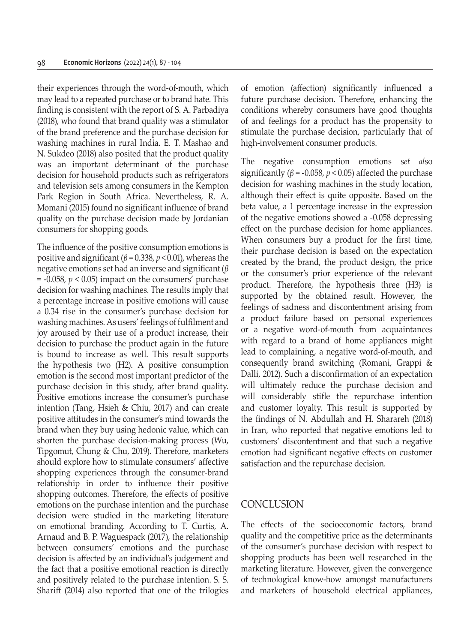their experiences through the word-of-mouth, which may lead to a repeated purchase or to brand hate. This finding is consistent with the report of S. A. Parbadiya (2018), who found that brand quality was a stimulator of the brand preference and the purchase decision for washing machines in rural India. E. T. Mashao and N. Sukdeo (2018) also posited that the product quality was an important determinant of the purchase decision for household products such as refrigerators and television sets among consumers in the Kempton Park Region in South Africa. Nevertheless, R. A. Momani (2015) found no significant influence of brand quality on the purchase decision made by Jordanian consumers for shopping goods.

The influence of the positive consumption emotions is positive and significant (*β* = 0.338, *p* < 0.01), whereas the negative emotions set had an inverse and significant (*β* = -0.058, *p* < 0.05) impact on the consumers' purchase decision for washing machines. The results imply that a percentage increase in positive emotions will cause a 0.34 rise in the consumer's purchase decision for washing machines. As users' feelings of fulfilment and joy aroused by their use of a product increase, their decision to purchase the product again in the future is bound to increase as well. This result supports the hypothesis two (H2). A positive consumption emotion is the second most important predictor of the purchase decision in this study, after brand quality. Positive emotions increase the consumer's purchase intention (Tang, Hsieh & Chiu, 2017) and can create positive attitudes in the consumer's mind towards the brand when they buy using hedonic value, which can shorten the purchase decision-making process (Wu, Tipgomut, Chung & Chu, 2019). Therefore, marketers should explore how to stimulate consumers' affective shopping experiences through the consumer-brand relationship in order to influence their positive shopping outcomes. Therefore, the effects of positive emotions on the purchase intention and the purchase decision were studied in the marketing literature on emotional branding. According to T. Curtis, A. Arnaud and B. P. Waguespack (2017), the relationship between consumers' emotions and the purchase decision is affected by an individual's judgement and the fact that a positive emotional reaction is directly and positively related to the purchase intention. S. S. Shariff (2014) also reported that one of the trilogies of emotion (affection) significantly influenced a future purchase decision. Therefore, enhancing the conditions whereby consumers have good thoughts of and feelings for a product has the propensity to stimulate the purchase decision, particularly that of high-involvement consumer products.

The negative consumption emotions s*et al*so significantly ( $\beta$  = -0.058,  $p$  < 0.05) affected the purchase decision for washing machines in the study location, although their effect is quite opposite. Based on the beta value, a 1 percentage increase in the expression of the negative emotions showed a -0.058 depressing effect on the purchase decision for home appliances. When consumers buy a product for the first time, their purchase decision is based on the expectation created by the brand, the product design, the price or the consumer's prior experience of the relevant product. Therefore, the hypothesis three (H3) is supported by the obtained result. However, the feelings of sadness and discontentment arising from a product failure based on personal experiences or a negative word-of-mouth from acquaintances with regard to a brand of home appliances might lead to complaining, a negative word-of-mouth, and consequently brand switching (Romani, Grappi & Dalli, 2012). Such a disconfirmation of an expectation will ultimately reduce the purchase decision and will considerably stifle the repurchase intention and customer loyalty. This result is supported by the findings of N. Abdullah and H. Sharareh (2018) in Iran, who reported that negative emotions led to customers' discontentment and that such a negative emotion had significant negative effects on customer satisfaction and the repurchase decision.

#### **CONCLUSION**

The effects of the socioeconomic factors, brand quality and the competitive price as the determinants of the consumer's purchase decision with respect to shopping products has been well researched in the marketing literature. However, given the convergence of technological know-how amongst manufacturers and marketers of household electrical appliances,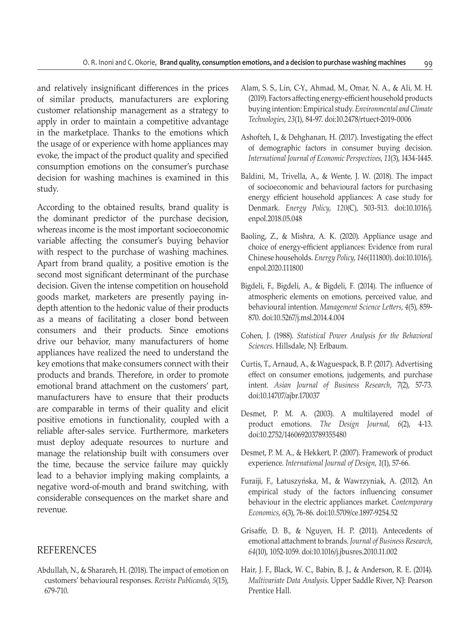and relatively insignificant differences in the prices of similar products, manufacturers are exploring customer relationship management as a strategy to apply in order to maintain a competitive advantage in the marketplace. Thanks to the emotions which the usage of or experience with home appliances may evoke, the impact of the product quality and specified consumption emotions on the consumer's purchase decision for washing machines is examined in this study.

According to the obtained results, brand quality is the dominant predictor of the purchase decision, whereas income is the most important socioeconomic variable affecting the consumer's buying behavior with respect to the purchase of washing machines. Apart from brand quality, a positive emotion is the second most significant determinant of the purchase decision. Given the intense competition on household goods market, marketers are presently paying indepth attention to the hedonic value of their products as a means of facilitating a closer bond between consumers and their products. Since emotions drive our behavior, many manufacturers of home appliances have realized the need to understand the key emotions that make consumers connect with their products and brands. Therefore, in order to promote emotional brand attachment on the customers' part, manufacturers have to ensure that their products are comparable in terms of their quality and elicit positive emotions in functionality, coupled with a reliable after-sales service. Furthermore, marketers must deploy adequate resources to nurture and manage the relationship built with consumers over the time, because the service failure may quickly lead to a behavior implying making complaints, a negative word-of-mouth and brand switching, with considerable consequences on the market share and revenue.

#### REFERENCES

Abdullah, N., & Sharareh, H. (2018). The impact of emotion on customers' behavioural responses. *Revista Publicando*, *5*(15), 679-710.

- Alam, S. S., Lin, C-Y., Ahmad, M., Omar, N. A., & Ali, M. H. (2019). Factors affecting energy-efficient household products buying intention: Empirical study. *Environmental and Climate Technologies*, *23*(1), 84-97. doi:10.2478/rtuect-2019-0006
- Ashofteh, I., & Dehghanan, H. (2017). Investigating the effect of demographic factors in consumer buying decision. *International Journal of Economic Perspectives*, *11*(3), 1434-1445.
- Baldini, M., Trivella, A., & Wente, J. W. (2018). The impact of socioeconomic and behavioural factors for purchasing energy efficient household appliances: A case study for Denmark. *Energy Policy*, *120*(C), 503-513. doi:10.1016/j. enpol.2018.05.048
- Baoling, Z., & Mishra, A. K. (2020). Appliance usage and choice of energy-efficient appliances: Evidence from rural Chinese households. *Energy Policy*, *146*(111800). doi:10.1016/j. enpol.2020.111800
- Bigdeli, F., Bigdeli, A., & Bigdeli, F. (2014). The influence of atmospheric elements on emotions, perceived value, and behavioural intention. *Management Science Letters*, *4*(5), 859- 870. doi:10.5267/j.msl.2014.4.004
- Cohen, J. (1988). *Statistical Power Analysis for the Behavioral Sciences*. Hillsdale, NJ: Erlbaum.
- Curtis, T., Arnaud, A., & Waguespack, B. P. (2017). Advertising effect on consumer emotions, judgements, and purchase intent. *Asian Journal of Business Research*, 7(2), 57-73. doi:10.14707/ajbr.170037
- Desmet, P. M. A. (2003). A multilayered model of product emotions. *The Design Journal*, *6*(2), 4-13. doi:10.2752/146069203789355480
- Desmet, P. M. A., & Hekkert, P. (2007). Framework of product experience. *International Journal of Design*, *1*(1), 57-66.
- Furaiji, F., Łatuszyńska, M., & Wawrzyniak, A. (2012). An empirical study of the factors influencing consumer behaviour in the electric appliances market. *Contemporary Economics*, *6*(3), 76-86. doi:10.5709/ce.1897-9254.52
- Grisaffe, D. B., & Nguyen, H. P. (2011). Antecedents of emotional attachment to brands. *Journal of Business Research*, *64*(10), 1052-1059. doi:10.1016/j.jbusres.2010.11.002
- Hair, J. F., Black, W. C., Babin, B. J., & Anderson, R. E. (2014). *Multivariate Data Analysis*. Upper Saddle River, NJ: Pearson Prentice Hall.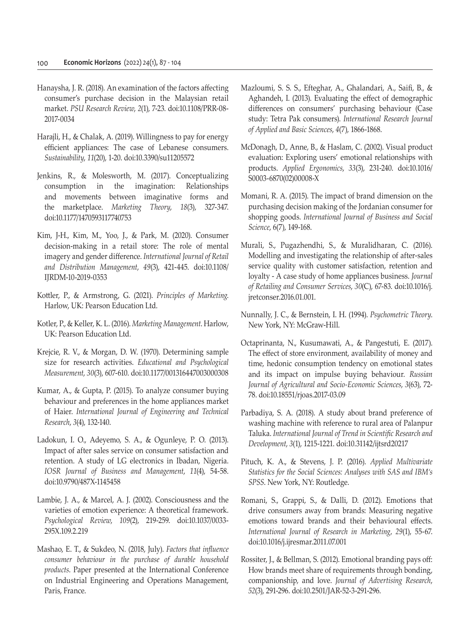- Hanaysha, J. R. (2018). An examination of the factors affecting consumer's purchase decision in the Malaysian retail market. *PSU Research Review*, *2*(1), 7-23. doi:10.1108/PRR-08- 2017-0034
- Harajli, H., & Chalak, A. (2019). Willingness to pay for energy efficient appliances: The case of Lebanese consumers. *Sustainability*, *11*(20), 1-20. doi:10.3390/su11205572
- Jenkins, R., & Molesworth, M. (2017). Conceptualizing consumption in the imagination: Relationships and movements between imaginative forms and the marketplace. *Marketing Theory*, *18*(3), 327-347. doi:10.1177/1470593117740753
- Kim, J-H., Kim, M., Yoo, J., & Park, M. (2020). Consumer decision-making in a retail store: The role of mental imagery and gender difference. *International Journal of Retail and Distribution Management*, *49*(3), 421-445. doi:10.1108/ IJRDM-10-2019-0353
- Kottler, P., & Armstrong, G. (2021). *Principles of Marketing*. Harlow, UK: Pearson Education Ltd.
- Kotler, P., & Keller, K. L. (2016). *Marketing Management*. Harlow, UK: Pearson Education Ltd.
- Krejcie, R. V., & Morgan, D. W. (1970). Determining sample size for research activities. *Educational and Psychological Measurement*, *30*(3), 607-610. doi:10.1177/001316447003000308
- Kumar, A., & Gupta, P. (2015). To analyze consumer buying behaviour and preferences in the home appliances market of Haier. *International Journal of Engineering and Technical Research*, *3*(4), 132-140.
- Ladokun, I. O., Adeyemo, S. A., & Ogunleye, P. O. (2013). Impact of after sales service on consumer satisfaction and retention. A study of LG electronics in Ibadan, Nigeria. *IOSR Journal of Business and Management*, *11*(4), 54-58. doi:10.9790/487X-1145458
- Lambie, J. A., & Marcel, A. J. (2002). Consciousness and the varieties of emotion experience: A theoretical framework. *Psychological Review*, *109*(2), 219-259. doi:10.1037/0033- 295X.109.2.219
- Mashao, E. T., & Sukdeo, N. (2018, July). *Factors that influence consumer behaviour in the purchase of durable household products*. Paper presented at the International Conference on Industrial Engineering and Operations Management, Paris, France.
- Mazloumi, S. S. S., Efteghar, A., Ghalandari, A., Saifi, B., & Aghandeh, I. (2013). Evaluating the effect of demographic differences on consumers' purchasing behaviour (Case study: Tetra Pak consumers). *International Research Journal of Applied and Basic Sciences*, *4*(7), 1866-1868.
- McDonagh, D., Anne, B., & Haslam, C. (2002). Visual product evaluation: Exploring users' emotional relationships with products. *Applied Ergonomics*, *33*(3), 231-240. doi:10.1016/ S0003-6870(02)00008-X
- Momani, R. A. (2015). The impact of brand dimension on the purchasing decision making of the Jordanian consumer for shopping goods. *International Journal of Business and Social Science*, 6(7), 149-168.
- Murali, S., Pugazhendhi, S., & Muralidharan, C. (2016). Modelling and investigating the relationship of after-sales service quality with customer satisfaction, retention and loyalty - A case study of home appliances business. *Journal of Retailing and Consumer Services*, *30*(C), 67-83. doi:10.1016/j. jretconser.2016.01.001.
- Nunnally, J. C., & Bernstein, I. H. (1994). *Psychometric Theory*. New York, NY: McGraw-Hill.
- Octaprinanta, N., Kusumawati, A., & Pangestuti, E. (2017). The effect of store environment, availability of money and time, hedonic consumption tendency on emotional states and its impact on impulse buying behaviour. *Russian Journal of Agricultural and Socio-Economic Sciences*, *3*(63), 72- 78. doi:10.18551/rjoas.2017-03.09
- Parbadiya, S. A. (2018). A study about brand preference of washing machine with reference to rural area of Palanpur Taluka. *International Journal of Trend in Scientific Research and Development*, *3*(1), 1215-1221. doi:10.31142/ijtsrd20217
- Pituch, K. A., & Stevens, J. P. (2016). *Applied Multivariate Statistics for the Social Sciences: Analyses with SAS and IBM's SPSS*. New York, NY: Routledge.
- Romani, S., Grappi, S., & Dalli, D. (2012). Emotions that drive consumers away from brands: Measuring negative emotions toward brands and their behavioural effects. *International Journal of Research in Marketing*, *29*(1), 55-67. doi:10.1016/j.ijresmar.2011.07.001
- Rossiter, J., & Bellman, S. (2012). Emotional branding pays off: How brands meet share of requirements through bonding, companionship, and love. *Journal of Advertising Research*, *52*(3), 291-296. doi:10.2501/JAR-52-3-291-296.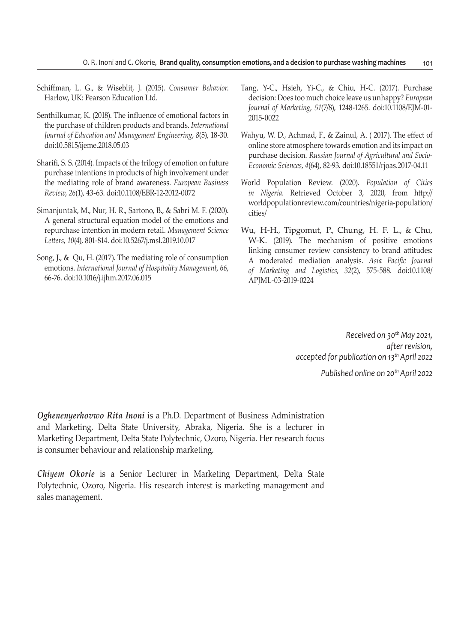- Schiffman, L. G., & Wiseblit, J. (2015). *Consumer Behavior*. Harlow, UK: Pearson Education Ltd.
- Senthilkumar, K. (2018). The influence of emotional factors in the purchase of children products and brands. *International Journal of Education and Management Engineering*, *8*(5), 18-30. doi:10.5815/ijeme.2018.05.03
- Sharifi, S. S. (2014). Impacts of the trilogy of emotion on future purchase intentions in products of high involvement under the mediating role of brand awareness. *European Business Review*, *26*(1), 43-63. doi:10.1108/EBR-12-2012-0072
- Simanjuntak, M., Nur, H. R., Sartono, B., & Sabri M. F. (2020). A general structural equation model of the emotions and repurchase intention in modern retail. *Management Science Letters*, *10*(4), 801-814. doi:10.5267/j.msl.2019.10.017
- Song, J., & Qu, H. (2017). The mediating role of consumption emotions. *International Journal of Hospitality Management*, *66*, 66-76. doi:10.1016/j.ijhm.2017.06.015
- Tang, Y-C., Hsieh, Yi-C., & Chiu, H-C. (2017). Purchase decision: Does too much choice leave us unhappy? *European Journal of Marketing*, *51*(7/8), 1248-1265. doi:10.1108/EJM-01- 2015-0022
- Wahyu, W. D., Achmad, F., & Zainul, A. ( 2017). The effect of online store atmosphere towards emotion and its impact on purchase decision. *Russian Journal of Agricultural and Socio-Economic Sciences*, *4*(64), 82-93. doi:10.18551/rjoas.2017-04.11
- World Population Review. (2020). *Population of Cities in Nigeria*. Retrieved October 3, 2020, from http:// worldpopulationreview.com/countries/nigeria-population/ cities/
- Wu, H-H., Tipgomut, P., Chung, H. F. L., & Chu, W-K. (2019). The mechanism of positive emotions linking consumer review consistency to brand attitudes: A moderated mediation analysis. *Asia Pacific Journal of Marketing and Logistics*, *32*(2), 575-588. doi:10.1108/ APJML-03-2019-0224

*Received on 30th May 2021, after revision, accepted for publication on 13th April 2022 Published online on 20th April 2022*

*Oghenenyerhovwo Rita Inoni* is a Ph.D. Department of Business Administration and Marketing, Delta State University, Abraka, Nigeria. She is a lecturer in Marketing Department, Delta State Polytechnic, Ozoro, Nigeria. Her research focus is consumer behaviour and relationship marketing.

*Chiyem Okorie* is a Senior Lecturer in Marketing Department, Delta State Polytechnic, Ozoro, Nigeria. His research interest is marketing management and sales management.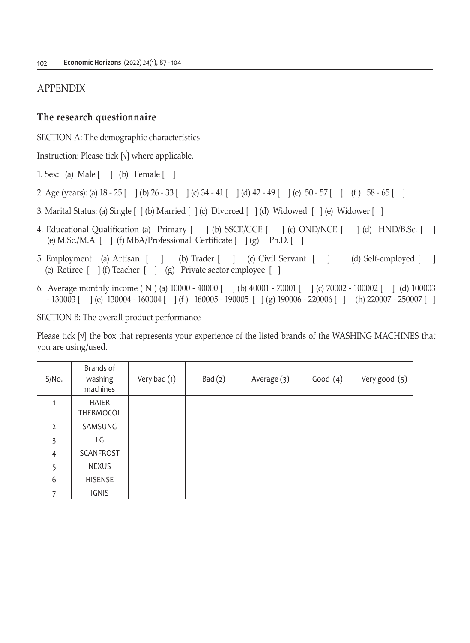## APPENDIX

## **The research questionnaire**

SECTION A: The demographic characteristics

Instruction: Please tick [√] where applicable.

1. Sex: (a) Male [ ] (b) Female [ ]

- 2. Age (years): (a) 18 25 [ ] (b) 26 33 [ ] (c) 34 41 [ ] (d) 42 49 [ ] (e) 50 57 [ ] (f ) 58 65 [ ]
- 3. Marital Status: (a) Single [ ] (b) Married [ ] (c) Divorced [ ] (d) Widowed [ ] (e) Widower [ ]
- 4. Educational Qualification (a) Primary  $[ \ \ ]$  (b) SSCE/GCE  $[ \ \ ]$  (c) OND/NCE  $[ \ \ ]$  (d) HND/B.Sc.  $[ \ \ ]$ (e) M.Sc./M.A  $[ ]$  (f) MBA/Professional Certificate  $[ ]$  (g) Ph.D.  $[ ]$
- 5. Employment (a) Artisan [ ] (b) Trader [ ] (c) Civil Servant [ ] (d) Self-employed [ ] (e) Retiree [ ] (f) Teacher [ ] (g) Private sector employee [ ]
- 6. Average monthly income ( N ) (a) 10000 40000 [ ] (b) 40001 70001 [ ] (c) 70002 100002 [ ] (d) 100003 - 130003 [ ] (e) 130004 - 160004 [ ] (f ) 160005 - 190005 [ ] (g) 190006 - 220006 [ ] (h) 220007 - 250007 [ ]

SECTION B: The overall product performance

Please tick [√] the box that represents your experience of the listed brands of the WASHING MACHINES that you are using/used.

| S/No.          | Brands of<br>washing<br>machines | Very bad (1) | Bad(2) | Average (3) | Good $(4)$ | Very good (5) |
|----------------|----------------------------------|--------------|--------|-------------|------------|---------------|
| 1              | HAIER<br>THERMOCOL               |              |        |             |            |               |
| $\overline{2}$ | SAMSUNG                          |              |        |             |            |               |
| 3              | LG                               |              |        |             |            |               |
| $\overline{4}$ | SCANFROST                        |              |        |             |            |               |
| 5              | <b>NEXUS</b>                     |              |        |             |            |               |
| 6              | <b>HISENSE</b>                   |              |        |             |            |               |
|                | IGNIS                            |              |        |             |            |               |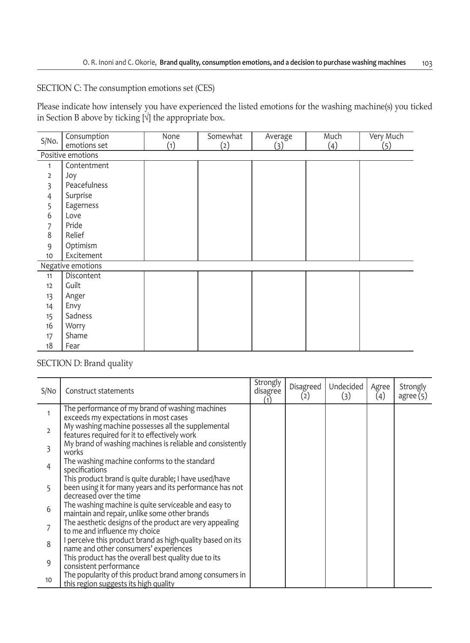# SECTION C: The consumption emotions set (CES)

Please indicate how intensely you have experienced the listed emotions for the washing machine(s) you ticked in Section B above by ticking [√] the appropriate box.

| S/No.             | Consumption<br>emotions set | None<br>(1) | Somewhat<br>(2) | Average<br>(3) | Much<br>(4) | Very Much<br>(5) |  |  |  |  |
|-------------------|-----------------------------|-------------|-----------------|----------------|-------------|------------------|--|--|--|--|
| Positive emotions |                             |             |                 |                |             |                  |  |  |  |  |
| $\mathbf{1}$      | Contentment                 |             |                 |                |             |                  |  |  |  |  |
| 2                 | Joy                         |             |                 |                |             |                  |  |  |  |  |
| 3                 | Peacefulness                |             |                 |                |             |                  |  |  |  |  |
| 4                 | Surprise                    |             |                 |                |             |                  |  |  |  |  |
| 5                 | Eagerness                   |             |                 |                |             |                  |  |  |  |  |
| 6                 | Love                        |             |                 |                |             |                  |  |  |  |  |
| 7                 | Pride                       |             |                 |                |             |                  |  |  |  |  |
| 8                 | Relief                      |             |                 |                |             |                  |  |  |  |  |
| 9                 | Optimism                    |             |                 |                |             |                  |  |  |  |  |
| 10                | Excitement                  |             |                 |                |             |                  |  |  |  |  |
|                   | Negative emotions           |             |                 |                |             |                  |  |  |  |  |
| 11                | Discontent                  |             |                 |                |             |                  |  |  |  |  |
| 12                | Guilt                       |             |                 |                |             |                  |  |  |  |  |
| 13                | Anger                       |             |                 |                |             |                  |  |  |  |  |
| 14                | Envy                        |             |                 |                |             |                  |  |  |  |  |
| 15                | Sadness                     |             |                 |                |             |                  |  |  |  |  |
| 16                | Worry                       |             |                 |                |             |                  |  |  |  |  |
| 17                | Shame                       |             |                 |                |             |                  |  |  |  |  |
| 18                | Fear                        |             |                 |                |             |                  |  |  |  |  |

## SECTION D: Brand quality

| S/No           | Construct statements                                                                                                                         | Strongly<br>disagree<br>(1) | Disagreed<br>(2) | Undecided<br>(3) | Agree<br>(4) | Strongly<br>agree(5) |
|----------------|----------------------------------------------------------------------------------------------------------------------------------------------|-----------------------------|------------------|------------------|--------------|----------------------|
|                | The performance of my brand of washing machines<br>exceeds my expectations in most cases                                                     |                             |                  |                  |              |                      |
| $\overline{2}$ | My washing machine possesses all the supplemental<br>features required for it to effectively work                                            |                             |                  |                  |              |                      |
| 3              | My brand of washing machines is reliable and consistently<br>works                                                                           |                             |                  |                  |              |                      |
| 4              | The washing machine conforms to the standard<br>specifications                                                                               |                             |                  |                  |              |                      |
| 5              | This product brand is quite durable; I have used/have<br>been using it for many years and its performance has not<br>decreased over the time |                             |                  |                  |              |                      |
| 6              | The washing machine is quite serviceable and easy to<br>maintain and repair, unlike some other brands                                        |                             |                  |                  |              |                      |
| 7              | The aesthetic designs of the product are very appealing<br>to me and influence my choice                                                     |                             |                  |                  |              |                      |
| 8              | I perceive this product brand as high-quality based on its<br>name and other consumers' experiences                                          |                             |                  |                  |              |                      |
| 9              | This product has the overall best quality due to its<br>consistent performance                                                               |                             |                  |                  |              |                      |
| 10             | The popularity of this product brand among consumers in<br>this region suggests its high quality                                             |                             |                  |                  |              |                      |